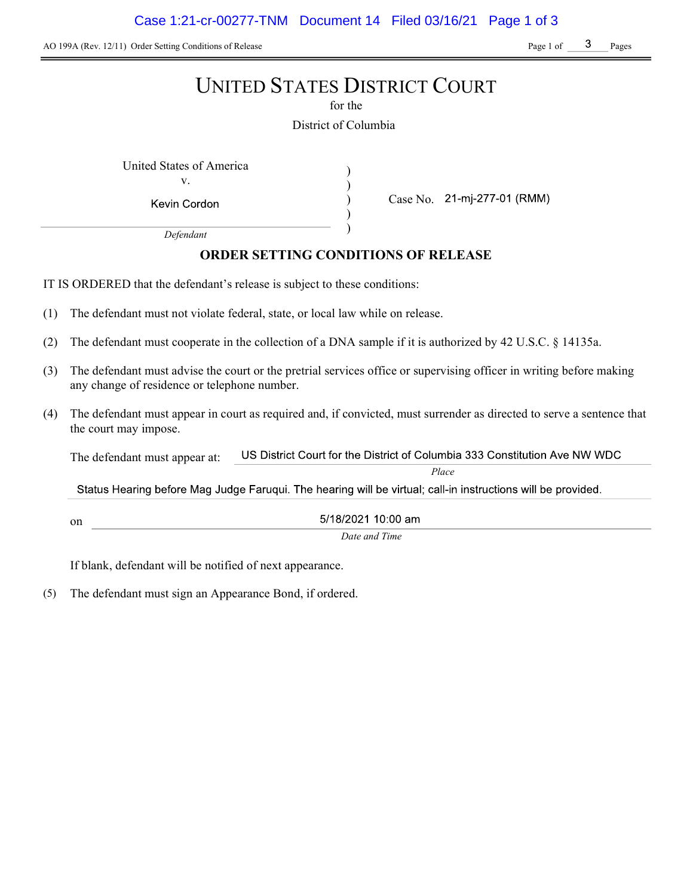Case 1:21-cr-00277-TNM Document 14 Filed 03/16/21 Page 1 of 3

AO 199A (Rev. 12/11) Order Setting Conditions of Release Page 1 of Page 1 of Pages

# UNITED STATES DISTRICT COURT

for the

District of Columbia

) ) ) )

United States of America (1992) v.

Kevin Cordon

Case No. 21-mj-277-01 (RMM)

Defendant

## ORDER SETTING CONDITIONS OF RELEASE

IT IS ORDERED that the defendant's release is subject to these conditions:

- (1) The defendant must not violate federal, state, or local law while on release.
- (2) The defendant must cooperate in the collection of a DNA sample if it is authorized by 42 U.S.C. § 14135a.
- (3) The defendant must advise the court or the pretrial services office or supervising officer in writing before making any change of residence or telephone number.
- (4) The defendant must appear in court as required and, if convicted, must surrender as directed to serve a sentence that the court may impose.

US District Court for the District of Columbia 333 Constitution Ave NW WDC The defendant must appear at:

Place

Status Hearing before Mag Judge Faruqui. The hearing will be virtual; call-in instructions will be provided.

5/18/2021 10:00 am

Date and Time

If blank, defendant will be notified of next appearance.

on

(5) The defendant must sign an Appearance Bond, if ordered.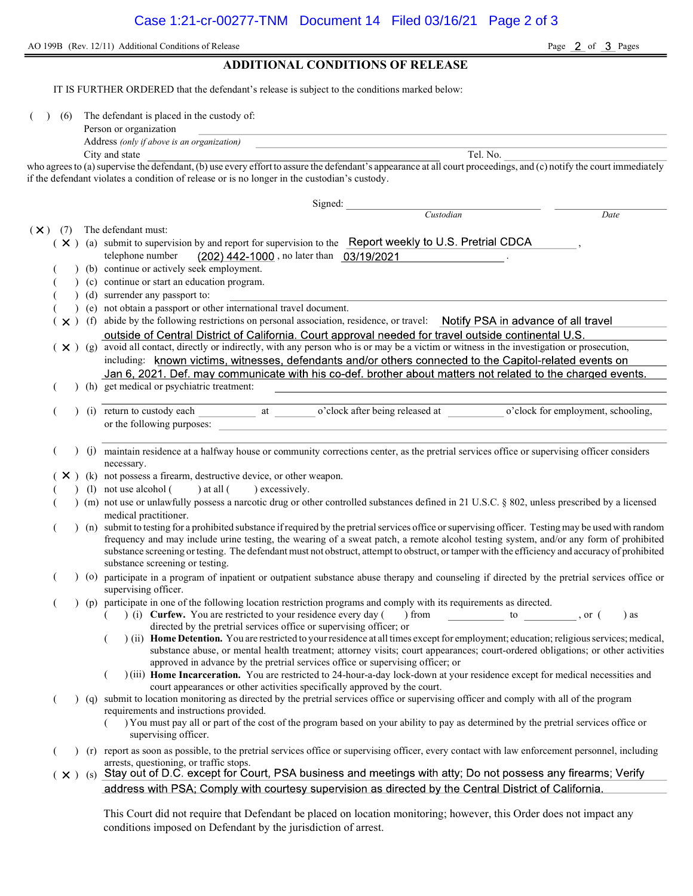AO 199B (Rev. 12/11) Additional Conditions of Release Page 2 of 3 Pages

### ADDITIONAL CONDITIONS OF RELEASE

IT IS FURTHER ORDERED that the defendant's release is subject to the conditions marked below:

( ) (6) The defendant is placed in the custody of:

| Person or organization |  |
|------------------------|--|
|                        |  |

Address (only if above is an organization)

City and state Tel. No. who agrees to (a) supervise the defendant, (b) use every effort to assure the defendant's appearance at all court proceedings, and (c) notify the court immediately if the defendant violates a condition of release or is no longer in the custodian's custody.

|            |            | Signed:                                                                                                                                                                                                                                                                    |
|------------|------------|----------------------------------------------------------------------------------------------------------------------------------------------------------------------------------------------------------------------------------------------------------------------------|
|            |            | Custodian<br>Date                                                                                                                                                                                                                                                          |
| $(\times)$ | (7)        | The defendant must:                                                                                                                                                                                                                                                        |
|            |            | ( X ) (a) submit to supervision by and report for supervision to the Report weekly to U.S. Pretrial CDCA                                                                                                                                                                   |
|            |            | telephone number<br>(202) 442-1000, no later than 03/19/2021                                                                                                                                                                                                               |
|            |            | (b) continue or actively seek employment.                                                                                                                                                                                                                                  |
|            |            | (c) continue or start an education program.                                                                                                                                                                                                                                |
|            |            | (d) surrender any passport to:                                                                                                                                                                                                                                             |
|            |            | (e) not obtain a passport or other international travel document.                                                                                                                                                                                                          |
|            | $(\times)$ | (f) abide by the following restrictions on personal association, residence, or travel: Notify PSA in advance of all travel                                                                                                                                                 |
|            |            | outside of Central District of California. Court approval needed for travel outside continental U.S.                                                                                                                                                                       |
|            |            | ( × ) (g) avoid all contact, directly or indirectly, with any person who is or may be a victim or witness in the investigation or prosecution,                                                                                                                             |
|            |            | including: known victims, witnesses, defendants and/or others connected to the Capitol-related events on                                                                                                                                                                   |
|            |            | Jan 6, 2021. Def. may communicate with his co-def. brother about matters not related to the charged events.                                                                                                                                                                |
|            |            | (h) get medical or psychiatric treatment:                                                                                                                                                                                                                                  |
|            |            |                                                                                                                                                                                                                                                                            |
|            |            |                                                                                                                                                                                                                                                                            |
|            |            | or the following purposes:                                                                                                                                                                                                                                                 |
|            |            |                                                                                                                                                                                                                                                                            |
|            |            | (j) maintain residence at a halfway house or community corrections center, as the pretrial services office or supervising officer considers                                                                                                                                |
|            | x.         | necessary.<br>(k) not possess a firearm, destructive device, or other weapon.                                                                                                                                                                                              |
|            | $\lambda$  | (1) not use alcohol (<br>$\int$ at all $\int$<br>excessively.                                                                                                                                                                                                              |
|            |            | ) (m) not use or unlawfully possess a narcotic drug or other controlled substances defined in 21 U.S.C. § 802, unless prescribed by a licensed                                                                                                                             |
|            |            | medical practitioner.                                                                                                                                                                                                                                                      |
|            |            | ) (n) submit to testing for a prohibited substance if required by the pretrial services office or supervising officer. Testing may be used with random                                                                                                                     |
|            |            | frequency and may include urine testing, the wearing of a sweat patch, a remote alcohol testing system, and/or any form of prohibited                                                                                                                                      |
|            |            | substance screening or testing. The defendant must not obstruct, attempt to obstruct, or tamper with the efficiency and accuracy of prohibited                                                                                                                             |
|            |            | substance screening or testing.                                                                                                                                                                                                                                            |
|            |            | (o) participate in a program of inpatient or outpatient substance abuse therapy and counseling if directed by the pretrial services office or                                                                                                                              |
|            |            | supervising officer.                                                                                                                                                                                                                                                       |
|            |            | (p) participate in one of the following location restriction programs and comply with its requirements as directed.                                                                                                                                                        |
|            |            | (i) Curfew. You are restricted to your residence every day (<br>$\int$ from<br>to<br>$\alpha$ , or $($<br>) as                                                                                                                                                             |
|            |            | directed by the pretrial services office or supervising officer; or                                                                                                                                                                                                        |
|            |            | ) (ii) Home Detention. You are restricted to your residence at all times except for employment; education; religious services; medical,<br>substance abuse, or mental health treatment; attorney visits; court appearances; court-ordered obligations; or other activities |
|            |            | approved in advance by the pretrial services office or supervising officer; or                                                                                                                                                                                             |
|            |            | )(iii) Home Incarceration. You are restricted to 24-hour-a-day lock-down at your residence except for medical necessities and                                                                                                                                              |
|            |            | court appearances or other activities specifically approved by the court.                                                                                                                                                                                                  |
|            |            | (q) submit to location monitoring as directed by the pretrial services office or supervising officer and comply with all of the program                                                                                                                                    |
|            |            | requirements and instructions provided.                                                                                                                                                                                                                                    |
|            |            | ) You must pay all or part of the cost of the program based on your ability to pay as determined by the pretrial services office or                                                                                                                                        |
|            |            | supervising officer.                                                                                                                                                                                                                                                       |
|            |            | (r) report as soon as possible, to the pretrial services office or supervising officer, every contact with law enforcement personnel, including                                                                                                                            |
|            |            | arrests, questioning, or traffic stops.                                                                                                                                                                                                                                    |
|            |            | (x) (s) Stay out of D.C. except for Court, PSA business and meetings with atty; Do not possess any firearms; Verify                                                                                                                                                        |
|            |            | address with PSA; Comply with courtesy supervision as directed by the Central District of California.                                                                                                                                                                      |
|            |            |                                                                                                                                                                                                                                                                            |

This Court did not require that Defendant be placed on location monitoring; however, this Order does not impact any conditions imposed on Defendant by the jurisdiction of arrest.